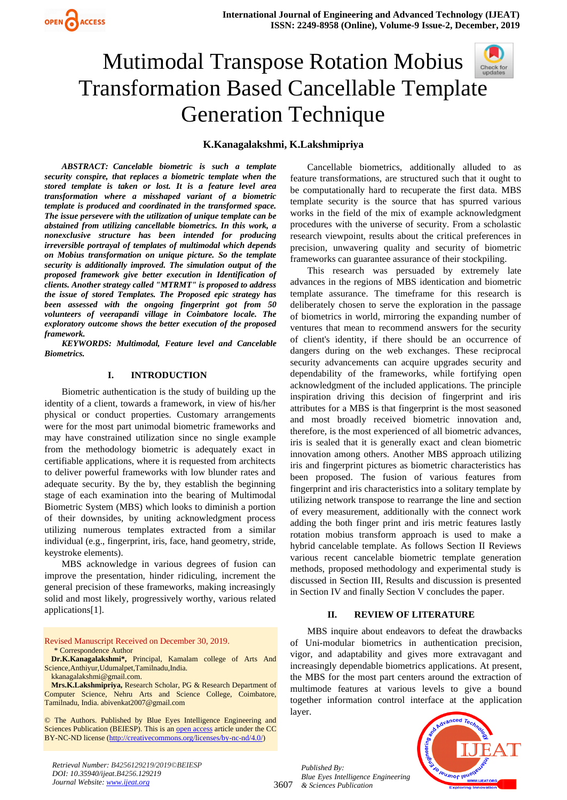

## Mutimodal Transpose Rotation Mobius Transformation Based Cancellable Templa[te](https://crossmark.crossref.org/dialog/?doi=10.35940/ijeat.B4256.129219&domain=www.ijeat.org)  Generation Technique

#### **K.Kanagalakshmi, K.Lakshmipriya**

*ABSTRACT: Cancelable biometric is such a template security conspire, that replaces a biometric template when the stored template is taken or lost. It is a feature level area transformation where a misshaped variant of a biometric template is produced and coordinated in the transformed space. The issue persevere with the utilization of unique template can be abstained from utilizing cancellable biometrics. In this work, a nonexclusive structure has been intended for producing irreversible portrayal of templates of multimodal which depends on Mobius transformation on unique picture. So the template security is additionally improved. The simulation output of the proposed framework give better execution in Identification of clients. Another strategy called "MTRMT" is proposed to address the issue of stored Templates. The Proposed epic strategy has been assessed with the ongoing fingerprint got from 50 volunteers of veerapandi village in Coimbatore locale. The exploratory outcome shows the better execution of the proposed framework.*

*KEYWORDS: Multimodal, Feature level and Cancelable Biometrics.*

#### **I. INTRODUCTION**

Biometric authentication is the study of building up the identity of a client, towards a framework, in view of his/her physical or conduct properties. Customary arrangements were for the most part unimodal biometric frameworks and may have constrained utilization since no single example from the methodology biometric is adequately exact in certifiable applications, where it is requested from architects to deliver powerful frameworks with low blunder rates and adequate security. By the by, they establish the beginning stage of each examination into the bearing of Multimodal Biometric System (MBS) which looks to diminish a portion of their downsides, by uniting acknowledgment process utilizing numerous templates extracted from a similar individual (e.g., fingerprint, iris, face, hand geometry, stride, keystroke elements).

MBS acknowledge in various degrees of fusion can improve the presentation, hinder ridiculing, increment the general precision of these frameworks, making increasingly solid and most likely, progressively worthy, various related applications[1].

Revised Manuscript Received on December 30, 2019. \* Correspondence Author

**Dr.K.Kanagalakshmi\*,** Principal, Kamalam college of Arts And Science,Anthiyur,Udumalpet,Tamilnadu,India. [kkanagalakshmi@gmail.com.](mailto:kkanagalakshmi@gmail.com)

**Mrs.K.Lakshmipriya,** Research Scholar, PG & Research Department of Computer Science, Nehru Arts and Science College, Coimbatore, Tamilnadu, India. [abivenkat2007@gmail.com](mailto:abivenkat2007@gmail.com)

© The Authors. Published by Blue Eyes Intelligence Engineering and Sciences Publication (BEIESP). This is an <u>open access</u> article under the CC BY-NC-ND license [\(http://creativecommons.org/licenses/by-nc-nd/4.0/\)](http://creativecommons.org/licenses/by-nc-nd/4.0/)

Cancellable biometrics, additionally alluded to as feature transformations, are structured such that it ought to be computationally hard to recuperate the first data. MBS template security is the source that has spurred various works in the field of the mix of example acknowledgment procedures with the universe of security. From a scholastic research viewpoint, results about the critical preferences in precision, unwavering quality and security of biometric frameworks can guarantee assurance of their stockpiling.

This research was persuaded by extremely late advances in the regions of MBS identication and biometric template assurance. The timeframe for this research is deliberately chosen to serve the exploration in the passage of biometrics in world, mirroring the expanding number of ventures that mean to recommend answers for the security of client's identity, if there should be an occurrence of dangers during on the web exchanges. These reciprocal security advancements can acquire upgrades security and dependability of the frameworks, while fortifying open acknowledgment of the included applications. The principle inspiration driving this decision of fingerprint and iris attributes for a MBS is that fingerprint is the most seasoned and most broadly received biometric innovation and, therefore, is the most experienced of all biometric advances, iris is sealed that it is generally exact and clean biometric innovation among others. Another MBS approach utilizing iris and fingerprint pictures as biometric characteristics has been proposed. The fusion of various features from fingerprint and iris characteristics into a solitary template by utilizing network transpose to rearrange the line and section of every measurement, additionally with the connect work adding the both finger print and iris metric features lastly rotation mobius transform approach is used to make a hybrid cancelable template. As follows Section II Reviews various recent cancelable biometric template generation methods, proposed methodology and experimental study is discussed in Section III, Results and discussion is presented in Section IV and finally Section V concludes the paper.

#### **II. REVIEW OF LITERATURE**

MBS inquire about endeavors to defeat the drawbacks of Uni-modular biometrics in authentication precision, vigor, and adaptability and gives more extravagant and increasingly dependable biometrics applications. At present, the MBS for the most part centers around the extraction of multimode features at various levels to give a bound together information control interface at the application layer.



*Retrieval Number: B4256129219/2019©BEIESP DOI: 10.35940/ijeat.B4256.129219 Journal Website: [www.ijeat.org](http://www.ijeat.org/)*

3607

*Published By:*

*& Sciences Publication* 

*Blue Eyes Intelligence Engineering*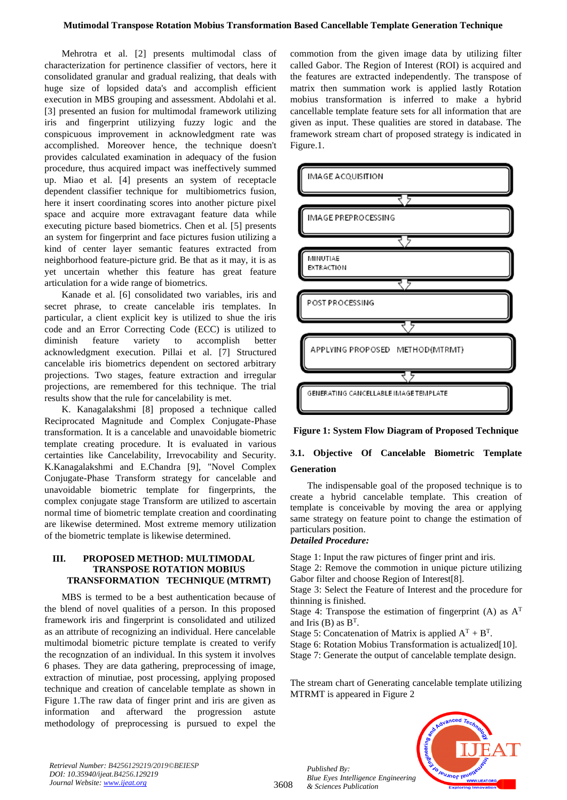#### **Mutimodal Transpose Rotation Mobius Transformation Based Cancellable Template Generation Technique**

Mehrotra et al. [2] presents multimodal class of characterization for pertinence classifier of vectors, here it consolidated granular and gradual realizing, that deals with huge size of lopsided data's and accomplish efficient execution in MBS grouping and assessment. Abdolahi et al. [3] presented an fusion for multimodal framework utilizing iris and fingerprint utilizying fuzzy logic and the conspicuous improvement in acknowledgment rate was accomplished. Moreover hence, the technique doesn't provides calculated examination in adequacy of the fusion procedure, thus acquired impact was ineffectively summed up. Miao et al. [4] presents an system of receptacle dependent classifier technique for multibiometrics fusion, here it insert coordinating scores into another picture pixel space and acquire more extravagant feature data while executing picture based biometrics. Chen et al. [5] presents an system for fingerprint and face pictures fusion utilizing a kind of center layer semantic features extracted from neighborhood feature-picture grid. Be that as it may, it is as yet uncertain whether this feature has great feature articulation for a wide range of biometrics.

Kanade et al. [6] consolidated two variables, iris and secret phrase, to create cancelable iris templates. In particular, a client explicit key is utilized to shue the iris code and an Error Correcting Code (ECC) is utilized to diminish feature variety to accomplish better acknowledgment execution. Pillai et al. [7] Structured cancelable iris biometrics dependent on sectored arbitrary projections. Two stages, feature extraction and irregular projections, are remembered for this technique. The trial results show that the rule for cancelability is met.

K. Kanagalakshmi [8] proposed a technique called Reciprocated Magnitude and Complex Conjugate-Phase transformation. It is a cancelable and unavoidable biometric template creating procedure. It is evaluated in various certainties like Cancelability, Irrevocability and Security. K.Kanagalakshmi and E.Chandra [9], "Novel Complex Conjugate-Phase Transform strategy for cancelable and unavoidable biometric template for fingerprints, the complex conjugate stage Transform are utilized to ascertain normal time of biometric template creation and coordinating are likewise determined. Most extreme memory utilization of the biometric template is likewise determined.

#### **III. PROPOSED METHOD: MULTIMODAL TRANSPOSE ROTATION MOBIUS TRANSFORMATION TECHNIQUE (MTRMT)**

MBS is termed to be a best authentication because of the blend of novel qualities of a person. In this proposed framework iris and fingerprint is consolidated and utilized as an attribute of recognizing an individual. Here cancelable multimodal biometric picture template is created to verify the recognzation of an individual. In this system it involves 6 phases. They are data gathering, preprocessing of image, extraction of minutiae, post processing, applying proposed technique and creation of cancelable template as shown in Figure 1.The raw data of finger print and iris are given as information and afterward the progression astute methodology of preprocessing is pursued to expel the

commotion from the given image data by utilizing filter called Gabor. The Region of Interest (ROI) is acquired and the features are extracted independently. The transpose of matrix then summation work is applied lastly Rotation mobius transformation is inferred to make a hybrid cancellable template feature sets for all information that are given as input. These qualities are stored in database. The framework stream chart of proposed strategy is indicated in Figure.1.





### **3.1. Objective Of Cancelable Biometric Template Generation**

The indispensable goal of the proposed technique is to create a hybrid cancelable template. This creation of template is conceivable by moving the area or applying same strategy on feature point to change the estimation of particulars position.

#### *Detailed Procedure:*

Stage 1: Input the raw pictures of finger print and iris.

Stage 2: Remove the commotion in unique picture utilizing Gabor filter and choose Region of Interest[8].

Stage 3: Select the Feature of Interest and the procedure for thinning is finished.

Stage 4: Transpose the estimation of fingerprint (A) as  $A<sup>T</sup>$ and Iris (B) as  $B<sup>T</sup>$ .

Stage 5: Concatenation of Matrix is applied  $A<sup>T</sup> + B<sup>T</sup>$ .

Stage 6: Rotation Mobius Transformation is actualized[10]. Stage 7: Generate the output of cancelable template design.

The stream chart of Generating cancelable template utilizing MTRMT is appeared in Figure 2



*Retrieval Number: B4256129219/2019©BEIESP DOI: 10.35940/ijeat.B4256.129219 Journal Website: [www.ijeat.org](http://www.ijeat.org/)*

3608

*Published By: Blue Eyes Intelligence Engineering & Sciences Publication*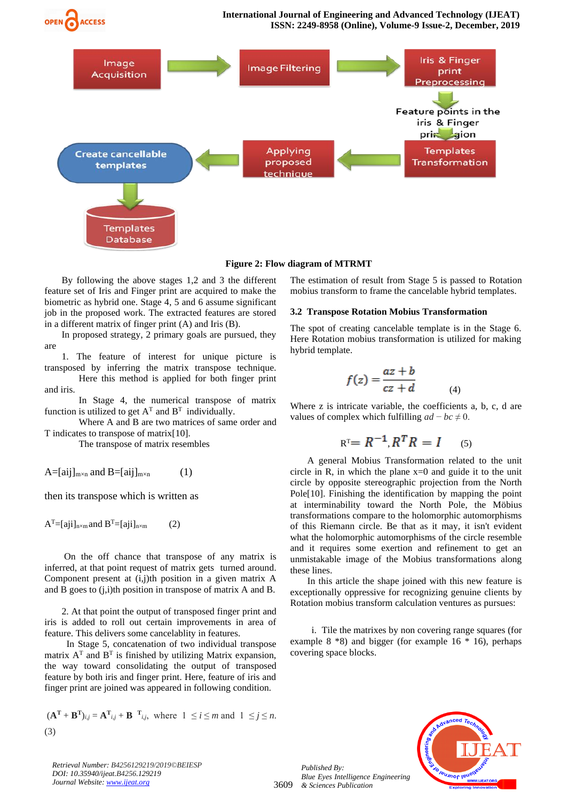

**Figure 2: Flow diagram of MTRMT**

By following the above stages 1,2 and 3 the different feature set of Iris and Finger print are acquired to make the biometric as hybrid one. Stage 4, 5 and 6 assume significant job in the proposed work. The extracted features are stored in a different matrix of finger print (A) and Iris (B).

In proposed strategy, 2 primary goals are pursued, they are

1. The feature of interest for unique picture is transposed by inferring the matrix transpose technique. Here this method is applied for both finger print and iris.

In Stage 4, the numerical transpose of matrix function is utilized to get  $A<sup>T</sup>$  and  $B<sup>T</sup>$  individually.

Where A and B are two matrices of same order and T indicates to transpose of matrix[10].

The transpose of matrix resembles

 $A=[aij]_{m\times n}$  and  $B=[aij]_{m\times n}$  (1)

then its transpose which is written as

 $A<sup>T</sup> = [aij]<sub>n×m</sub>$  and  $B<sup>T</sup> = [aij]<sub>n×m</sub>$  (2)

On the off chance that transpose of any matrix is inferred, at that point request of matrix gets turned around. Component present at (i,j)th position in a given matrix A and B goes to (j,i)th position in transpose of matrix A and B.

2. At that point the output of transposed finger print and iris is added to roll out certain improvements in area of feature. This delivers some cancelablity in features.

 In Stage 5, concatenation of two individual transpose matrix  $A<sup>T</sup>$  and  $B<sup>T</sup>$  is finished by utilizing Matrix expansion, the way toward consolidating the output of transposed feature by both iris and finger print. Here, feature of iris and finger print are joined was appeared in following condition.

$$
(\mathbf{A}^{\mathrm{T}} + \mathbf{B}^{\mathrm{T}})_{i,j} = \mathbf{A}^{\mathrm{T}}_{i,j} + \mathbf{B}^{\mathrm{T}}_{i,j}, \text{ where } 1 \le i \le m \text{ and } 1 \le j \le n.
$$
  
(3)

The estimation of result from Stage 5 is passed to Rotation mobius transform to frame the cancelable hybrid templates.

#### **3.2 Transpose Rotation Mobius Transformation**

The spot of creating cancelable template is in the Stage 6. Here Rotation mobius transformation is utilized for making hybrid template.

$$
f(z) = \frac{az+b}{cz+d} \tag{4}
$$

Where z is intricate variable, the coefficients a, b, c, d are values of complex which fulfilling  $ad - bc \neq 0$ .

$$
R^{T} = R^{-1}, R^{T}R = I
$$
 (5)

A general Mobius Transformation related to the unit circle in R, in which the plane  $x=0$  and guide it to the unit circle by opposite stereographic projection from the North Pole<sup>[10]</sup>. Finishing the identification by mapping the point at interminability toward the North Pole, the Möbius transformations compare to the holomorphic automorphisms of this Riemann circle. Be that as it may, it isn't evident what the holomorphic automorphisms of the circle resemble and it requires some exertion and refinement to get an unmistakable image of the Mobius transformations along these lines.

In this article the shape joined with this new feature is exceptionally oppressive for recognizing genuine clients by Rotation mobius transform calculation ventures as pursues:

i. Tile the matrixes by non covering range squares (for example 8  $*8$ ) and bigger (for example 16  $*$  16), perhaps covering space blocks.



*Retrieval Number: B4256129219/2019©BEIESP DOI: 10.35940/ijeat.B4256.129219 Journal Website: [www.ijeat.org](http://www.ijeat.org/)*

3609

*Blue Eyes Intelligence Engineering & Sciences Publication* 

*Published By:*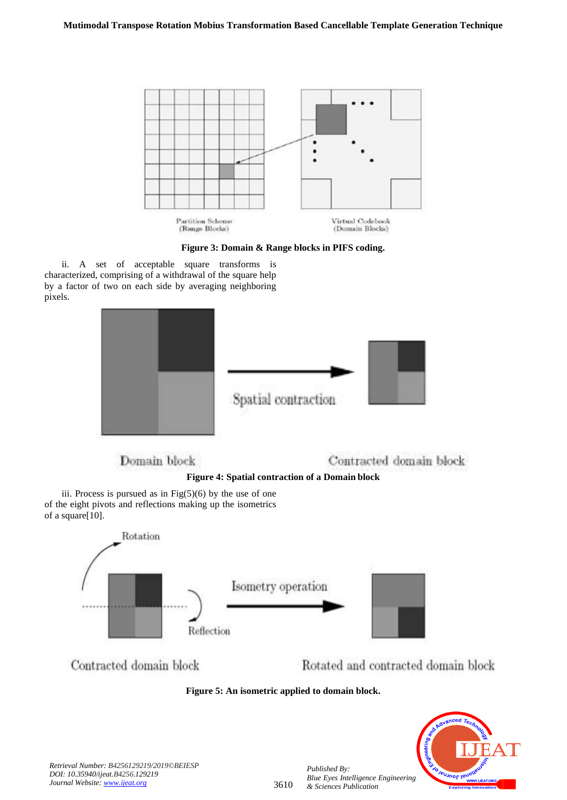

**Figure 3: Domain & Range blocks in PIFS coding.**

ii. A set of acceptable square transforms is characterized, comprising of a withdrawal of the square help by a factor of two on each side by averaging neighboring pixels.



**Figure 4: Spatial contraction of a Domain block**

iii. Process is pursued as in  $Fig(5)(6)$  by the use of one of the eight pivots and reflections making up the isometrics of a square[10].



Contracted domain block

Rotated and contracted domain block





*Published By:*

*& Sciences Publication*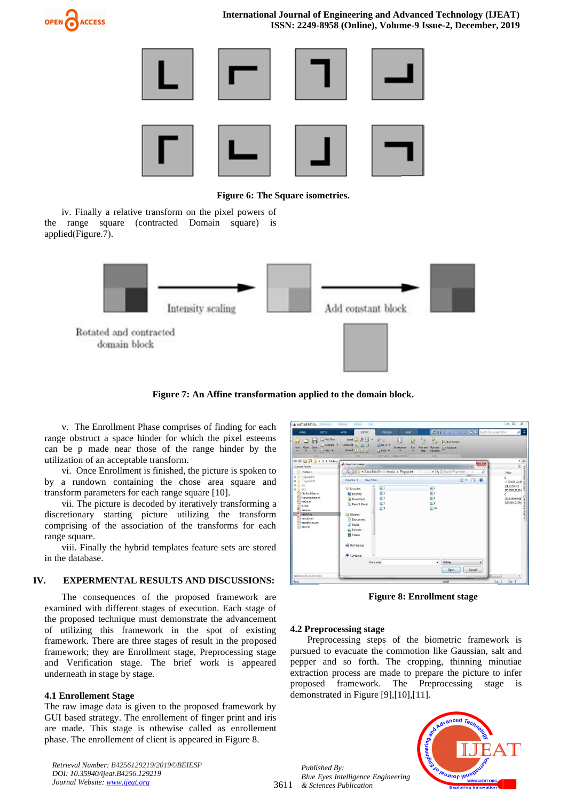

**International Journal of Engineering and Advanced Technology (IJEAT) ISSN: 2249-8958 (Online), Volume-9 Issue-2, December, 2019**



**Figure 6: The Square isometries.**

iv. Finally a relative transform on the pixel powers of the range square (contracted Domain square) is applied(Figure.7).



**Figure 7: An Affine transformation applied to the domain block.**

v. The Enrollment Phase comprises of finding for each range obstruct a space hinder for which the pixel esteems can be p made near those of the range hinder by the utilization of an acceptable transform.

vi. Once Enrollment is finished, the picture is spoken to by a rundown containing the chose area square and transform parameters for each range square [10].

vii. The picture is decoded by iteratively transforming a discretionary starting picture utilizing the transform comprising of the association of the transforms for each range square.

viii. Finally the hybrid templates feature sets are stored in the database.

#### **IV. EXPERMENTAL RESULTS AND DISCUSSIONS:**

The consequences of the proposed framework are examined with different stages of execution. Each stage of the proposed technique must demonstrate the advancement of utilizing this framework in the spot of existing framework. There are three stages of result in the proposed framework; they are Enrollment stage, Preprocessing stage and Verification stage. The brief work is appeared underneath in stage by stage.

#### **4.1 Enrollement Stage**

The raw image data is given to the proposed framework by GUI based strategy. The enrollement of finger print and iris are made. This stage is othewise called as enrollement phase. The enrollement of client is appeared in Figure 8.

*Retrieval Number: B4256129219/2019©BEIESP DOI: 10.35940/ijeat.B4256.129219 Journal Website: [www.ijeat.org](http://www.ijeat.org/)*

| <b>HOME</b><br><b>PLOTS</b>                                                                                                                                                  | <b>APPS</b><br>EDITOR                                                                                                                                              | <b>PUBLISH</b><br>VEW                                                                                                        | 四日                                                                                      | A B B Starch Documentation | $\alpha$ $\pi$                                                                        |
|------------------------------------------------------------------------------------------------------------------------------------------------------------------------------|--------------------------------------------------------------------------------------------------------------------------------------------------------------------|------------------------------------------------------------------------------------------------------------------------------|-----------------------------------------------------------------------------------------|----------------------------|---------------------------------------------------------------------------------------|
| Tind Files<br>ы<br>L. Compare<br>Open<br>New<br>$\rightarrow$ Pint $\rightarrow$<br>FILE                                                                                     | Insert $\Box$ $fx$ $k$ $\sim$<br>Comment % 32 32<br>Indent 5 of For<br>EDIT                                                                                        | $\mathcal{Q} \equiv$<br>国<br>Co To -<br>Breakpoints<br>Run<br>$Q$ Find $\rightarrow$<br><b>NAVIGATE</b><br><b>BREAKFORTS</b> | 图<br>硂<br>Run Section<br>Advance<br>Run and<br>Run and<br>Time<br>Advance<br><b>RUN</b> |                            |                                                                                       |
| 中中国酒<br>D: + Mobius                                                                                                                                                          | Select an image                                                                                                                                                    |                                                                                                                              |                                                                                         | $-8-$                      | $-10$<br>$\odot$                                                                      |
| Current Folder<br>Name A                                                                                                                                                     |                                                                                                                                                                    | « Local Disk (D:) > Mobius > Fingerprint                                                                                     | + 4 Search Fingerprint                                                                  | R                          | Value                                                                                 |
| Fingerprint<br>⊕<br>Fingerprint1<br>(ii)                                                                                                                                     | New folder<br>Organize v                                                                                                                                           |                                                                                                                              |                                                                                         | 題,<br>団<br>$\Omega$        | 0<br><150x100 uint8                                                                   |
| <b>Iris</b><br>E<br>宙<br>liki<br>68<br>DistEuclidian.m<br>ĸ<br>featureextract.m<br>frst2d.m<br>fe.<br>tt.mat<br>main.m<br>$*$ main2.m<br>minutie.m<br>morbiusmu.m<br>ots.mat | <b>Sir</b> Favorites<br>Desktop<br>Downloads<br><b>Recent Places</b><br>Libraries<br>Documents<br>Music<br>Pictures<br><b>N</b> Videos<br>e& Homegroup<br>Computer | $\mathbb{Z}1$<br>$\equiv$ 3<br>$\equiv$ 5<br>$\Xi$ <sup>7</sup><br>$\equiv$ 9<br>File name:                                  | $= 2$<br>$\equiv$ 4<br>$\equiv 6$<br>$\equiv 8$<br>$\equiv$ 10<br>All Files<br>٠        |                            | [21, 50, 58, 57]<br>176,0000.90.90.0<br>o.<br>[30, 53, 64, 65, 68]<br>[143;48;10;139] |
| main2.m (MATLAB Script)                                                                                                                                                      |                                                                                                                                                                    |                                                                                                                              | Open                                                                                    | Cancel                     |                                                                                       |

**Figure 8: Enrollment stage**

#### **4.2 Preprocessing stage**

Preprocessing steps of the biometric framework is pursued to evacuate the commotion like Gaussian, salt and pepper and so forth. The cropping, thinning minutiae extraction process are made to prepare the picture to infer proposed framework. The Preprocessing stage is demonstrated in Figure [9],[10],[11].

3611 *& Sciences Publication Published By: Blue Eyes Intelligence Engineering* 

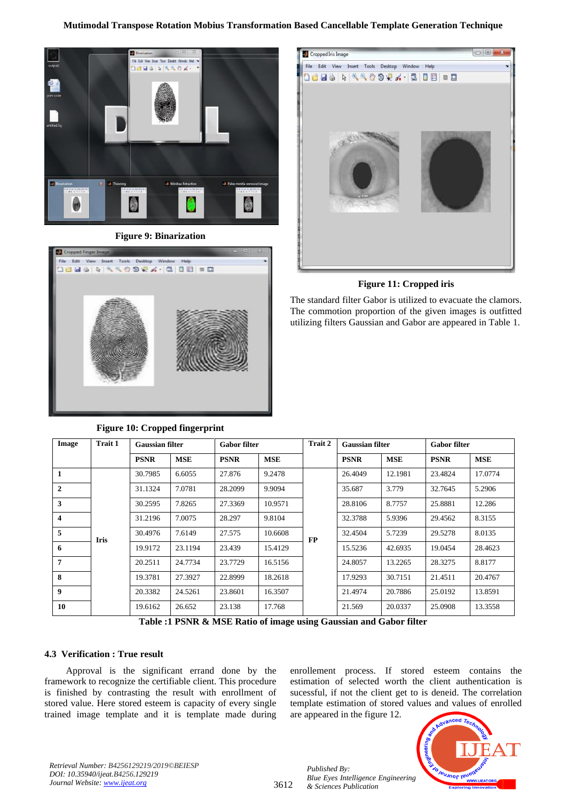

**Figure 9: Binarization**



# $\Box$ Cropped Iris Image File Edit View Insert Tools Desktop Window Help 18 2 3 3 3 3 4 5 6 7 8 9 8 9 8 9 8

#### **Figure 11: Cropped iris**

The standard filter Gabor is utilized to evacuate the clamors. The commotion proportion of the given images is outfitted utilizing filters Gaussian and Gabor are appeared in Table 1.

| Image              | <b>Trait 1</b> | <b>Gaussian filter</b> |            | <b>Gabor filter</b> |            | Trait 2 | <b>Gaussian filter</b> |            | <b>Gabor filter</b> |            |  |
|--------------------|----------------|------------------------|------------|---------------------|------------|---------|------------------------|------------|---------------------|------------|--|
|                    |                | <b>PSNR</b>            | <b>MSE</b> | <b>PSNR</b>         | <b>MSE</b> |         | <b>PSNR</b>            | <b>MSE</b> | <b>PSNR</b>         | <b>MSE</b> |  |
| 1                  |                | 30.7985                | 6.6055     | 27.876              | 9.2478     |         | 26.4049                | 12.1981    | 23.4824             | 17.0774    |  |
| $\overline{2}$     |                | 31.1324                | 7.0781     | 28.2099             | 9.9094     |         | 35.687                 | 3.779      | 32.7645             | 5.2906     |  |
| 3                  |                | 30.2595                | 7.8265     | 27.3369             | 10.9571    | FP      | 28.8106                | 8.7757     | 25.8881             | 12.286     |  |
| $\overline{\bf 4}$ |                | 31.2196                | 7.0075     | 28.297              | 9.8104     |         | 32.3788                | 5.9396     | 29.4562             | 8.3155     |  |
| 5                  | <b>Iris</b>    | 30.4976                | 7.6149     | 27.575              | 10.6608    |         | 32.4504                | 5.7239     | 29.5278             | 8.0135     |  |
| 6                  |                | 19.9172                | 23.1194    | 23.439              | 15.4129    |         | 15.5236                | 42.6935    | 19.0454             | 28.4623    |  |
| 7                  |                | 20.2511                | 24.7734    | 23.7729             | 16.5156    |         | 24.8057                | 13.2265    | 28.3275             | 8.8177     |  |
| 8                  |                | 19.3781                | 27.3927    | 22.8999             | 18.2618    |         | 17.9293                | 30.7151    | 21.4511             | 20.4767    |  |
| 9                  |                | 20.3382                | 24.5261    | 23.8601             | 16.3507    |         | 21.4974                | 20.7886    | 25.0192             | 13.8591    |  |
| 10                 |                | 19.6162                | 26.652     | 23.138              | 17.768     |         | 21.569                 | 20.0337    | 25.0908             | 13.3558    |  |

#### **Figure 10: Cropped fingerprint**

**Table :1 PSNR & MSE Ratio of image using Gaussian and Gabor filter**

#### **4.3 Verification : True result**

Approval is the significant errand done by the framework to recognize the certifiable client. This procedure is finished by contrasting the result with enrollment of stored value. Here stored esteem is capacity of every single trained image template and it is template made during

enrollement process. If stored esteem contains the estimation of selected worth the client authentication is sucessful, if not the client get to is deneid. The correlation template estimation of stored values and values of enrolled are appeared in the figure 12.



*Retrieval Number: B4256129219/2019©BEIESP DOI: 10.35940/ijeat.B4256.129219 Journal Website: [www.ijeat.org](http://www.ijeat.org/)*

3612

*Published By: Blue Eyes Intelligence Engineering & Sciences Publication*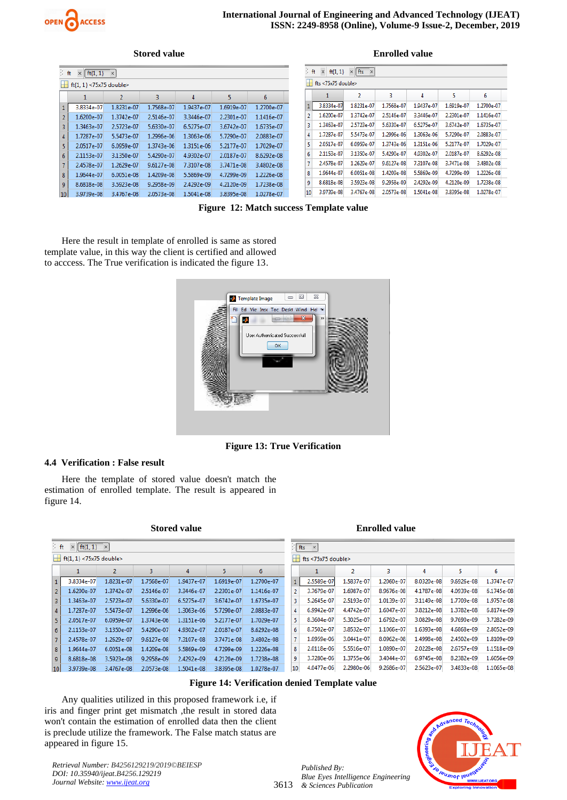

#### **Stored value Enrolled value**

|                 | ft<br>$\times$   ft{1, 1} $\times$ |              |            |            |            |            |  | ft | $\times$               | ft{1, 1} $\times$ fts $\times$ |            |            |            |            |
|-----------------|------------------------------------|--------------|------------|------------|------------|------------|--|----|------------------------|--------------------------------|------------|------------|------------|------------|
|                 | $H_1$ ft{1, 1} <75x75 double>      |              |            |            |            |            |  |    | $H$ fts <75x75 double> |                                |            |            |            |            |
|                 |                                    | 2            | З          | 4          | 5          | 6          |  |    |                        | $\overline{2}$                 | 3          | 4          |            | 6          |
|                 | 3.8334e-07                         | 1.8231e-07   | 1.7568e-07 | 1.9437e-07 | 1.6919e-07 | 1.2700e-07 |  |    | 3.8334e-07             | 1.8231e-07                     | 1.7568e-07 | 1.9437e-07 | 1.6919e-07 | 1.2700e-07 |
|                 | 1.6200e-07                         | 1.3742e-07   | 2.5146e-07 | 3.3446e-07 | 2.2301e-07 | 1.1416e-07 |  |    | 1.6200e-07             | 1.3742e-07                     | 2.5146e-07 | 3.3446e-07 | 2.2301e-07 | 1.1416e-07 |
| 3               | 1.3463e-07                         | 2.5723e-07   | 5.6330e-07 | 6.5275e-07 | 3.6742e-07 | 1.6735e-07 |  |    | 1.3463e-07             | 2.5723e-07                     | 5.6330e-07 | 6.5275e-07 | 3.6742e-07 | 1.6735e-07 |
| $\overline{4}$  | 1.7287e-07                         | 5.5473e-07   | 1.2996e-06 | 1.3063e-06 | 5.7290e-07 | 2.0883e-07 |  |    | 1.7287e-07             | 5.5473e-07                     | 1.2996e-06 | 1.3063e-06 | 5.7290e-07 | 2.0883e-07 |
|                 | 2.0517e-07                         | 6.0959e-07   | 1.3743e-06 | 1.3151e-06 | 5.2177e-07 | 1.7029e-07 |  |    | 2.0517e-07             | 6.0959e-07                     | 1.3743e-06 | 1.3151e-06 | 5.2177e-07 | 1.7029e-07 |
| 6               | 2.1153e-07                         | 3.1350e-07   | 5.4290e-07 | 4.9302e-07 | 2.0187e-07 | 8.6292e-08 |  |    | 2.1153e-07             | 3.1350e-07                     | 5.4290e-07 | 4.9302e-07 | 2.0187e-07 | 8.6292e-08 |
|                 | 2.4578e-07                         | 1.2629e-07   | 9.6127e-08 | 7.3107e-08 | 3.7471e-08 | 3.4802e-08 |  |    | 2.4578e-07             | 1.2629e-07                     | 9.6127e-08 | 7.3107e-08 | 3.7471e-08 | 3.4802e-08 |
| 8               | 1.9644e-07                         | $6.0051e-08$ | 1.4209e-08 | 5.5869e-09 | 4.7299e-09 | 1.2226e-08 |  |    | 1.9644e-07             | 6.0051e-08                     | 1.4209e-08 | 5.5869e-09 | 4.7299e-09 | 1.2226e-08 |
| $\overline{9}$  | 8.6818e-08                         | 3.5923e-08   | 9.2958e-09 | 2.4292e-09 | 4.2120e-09 | 1.7238e-08 |  |    | 8.6818e-08             | 3.5923e-08                     | 9.2958e-09 | 2.4292e-09 | 4.2120e-09 | 1.7238e-08 |
| 10 <sup>1</sup> | 3.9739e-08                         | 3.4767e-08   | 2.0573e-08 | 1.5041e-08 | 3.8395e-08 | 1.0278e-07 |  | 10 | 3.9739e-08             | 3.4767e-08                     | 2.0573e-08 | 1.5041e-08 | 3.8395e-08 | 1.0278e-07 |

**Figure 12: Match success Template value**

Here the result in template of enrolled is same as stored template value, in this way the client is certified and allowed to acccess. The True verification is indicated the figure 13.



**Figure 13: True Verification**

#### **4.4 Verification : False result**

Here the template of stored value doesn't match the estimation of enrolled template. The result is appeared in figure 14.

**Stored value Enrolled value** 

| ≶ ft.<br>$\left  \begin{array}{cc} \text{ft}\{1,1\} & \times \end{array} \right $<br>$\times$ |            |              |            |            |            |            | $ $ fts $ $ $\times$ |    |                    |            |            |            |            |            |
|-----------------------------------------------------------------------------------------------|------------|--------------|------------|------------|------------|------------|----------------------|----|--------------------|------------|------------|------------|------------|------------|
| $H$ ft{1, 1} <75x75 double>                                                                   |            |              |            |            |            |            |                      | H  | fts <75x75 double> |            |            |            |            |            |
|                                                                                               |            | 2            | 3          |            |            | 6          |                      |    |                    | 2          | 3          | 4          | 5.         | 6          |
|                                                                                               | 3.8334e-07 | 1.8231e-07   | 1.7568e-07 | 1.9437e-07 | 1.6919e-07 | 1.2700e-07 |                      |    | 2.5589e-07         | 1.5837e-07 | 1.2060e-07 | 8.0320e-08 | 9.6926e-08 | 1.3747e-07 |
| $\overline{2}$                                                                                | 1.6200e-07 | 1.3742e-07   | 2.5146e-07 | 3.3446e-07 | 2.2301e-07 | 1.1416e-07 |                      |    | 3.7679e-07         | 1.6987e-07 | 8.9676e-08 | 4.1787e-08 | 4.0939e-08 | 6.1745e-08 |
| 3                                                                                             | 1.3463e-07 | 2.5723e-07   | 5.6330e-07 | 6.5275e-07 | 3.6742e-07 | 1.6735e-07 |                      | 3  | 5.2645e-07         | 2.5193e-07 | 1.0139e-07 | 3.1149e-08 | 1.7709e-08 | 1.9757e-08 |
| 4                                                                                             | 1.7287e-07 | 5.5473e-07   | 1.2996e-06 | 1.3063e-06 | 5.7290e-07 | 2.0883e-07 |                      | 4  | 6.9942e-07         | 4.4742e-07 | 1.6047e-07 | 3.8212e-08 | 1.3782e-08 | 6.8174e-09 |
| 5.                                                                                            | 2.0517e-07 | 6.0959e-07   | 1.3743e-06 | 1.3151e-06 | 5.2177e-07 | 1.7029e-07 |                      | 5  | 8.3604e-07         | 5.3025e-07 | 1.6792e-07 | 3.0829e-08 | 9.7690e-09 | 3.7282e-09 |
| 6                                                                                             | 2.1153e-07 | 3.1350e-07   | 5.4290e-07 | 4.9302e-07 | 2.0187e-07 | 8.6292e-08 |                      | 6  | 8.7502e-07         | 3.8532e-07 | 1.1066e-07 | 1.6393e-08 | 4.6868e-09 | 2.8052e-09 |
| $\overline{7}$                                                                                | 2.4578e-07 | 1.2629e-07   | 9.6127e-08 | 7.3107e-08 | 3.7471e-08 | 3.4802e-08 |                      |    | 1.0959e-06         | 3.0441e-07 | 8.0962e-08 | 1.4998e-08 | 2.4502e-09 | 1.8109e-09 |
| 8                                                                                             | 1.9644e-07 | $6.0051e-08$ | 1.4209e-08 | 5.5869e-09 | 4.7299e-09 | 1.2226e-08 |                      | 8  | 2.0118e-06         | 5.5516e-07 | 1.0890e-07 | 2.0228e-08 | 2.6757e-09 | 1.1518e-09 |
| 9                                                                                             | 8.6818e-08 | 3.5923e-08   | 9.2958e-09 | 2.4292e-09 | 4.2120e-09 | 1.7238e-08 |                      | 9  | 3.7280e-06         | 1.3755e-06 | 3.4044e-07 | 6.9745e-08 | 8.2382e-09 | 1.6056e-09 |
| 10 <sup>1</sup>                                                                               | 3.9739e-08 | 3.4767e-08   | 2.0573e-08 | 1.5041e-08 | 3.8395e-08 | 1.0278e-07 |                      | 10 | 4.0477e-06         | 2.2980e-06 | 9.2686e-07 | 2.5623e-07 | 3.4833e-08 | 1.1065e-08 |

#### **Figure 14: Verification denied Template value**

Any qualities utilized in this proposed framework i.e, if iris and finger print get mismatch ,the result in stored data won't contain the estimation of enrolled data then the client is preclude utilize the framework. The False match status are appeared in figure 15.

*Retrieval Number: B4256129219/2019©BEIESP DOI: 10.35940/ijeat.B4256.129219 Journal Website: [www.ijeat.org](http://www.ijeat.org/)*



3613 *& Sciences Publication Published By: Blue Eyes Intelligence Engineering*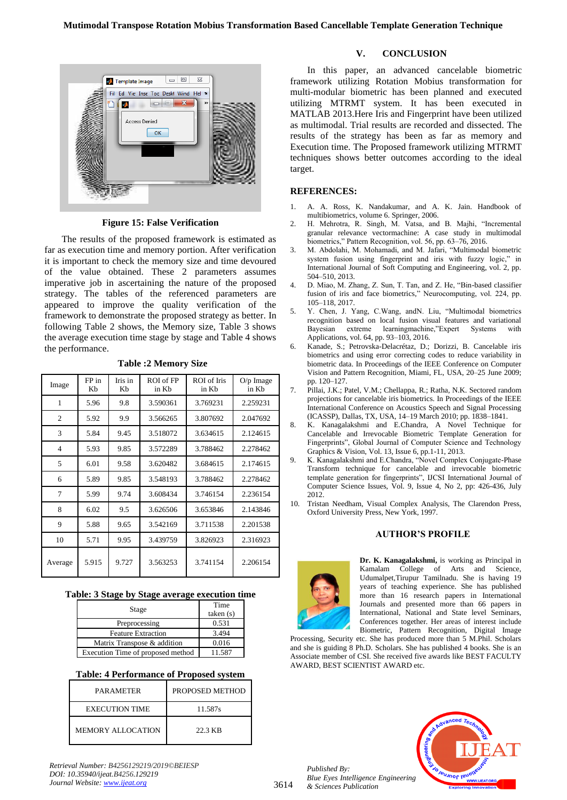

**Figure 15: False Verification**

The results of the proposed framework is estimated as far as execution time and memory portion. After verification it is important to check the memory size and time devoured of the value obtained. These 2 parameters assumes imperative job in ascertaining the nature of the proposed strategy. The tables of the referenced parameters are appeared to improve the quality verification of the framework to demonstrate the proposed strategy as better. In following Table 2 shows, the Memory size, Table 3 shows the average execution time stage by stage and Table 4 shows the performance.

| Image          | FP in<br>Kb | Iris in<br>Kb | ROI of FP<br>in Kh | ROI of Iris<br>in Kb | $O/p$ Image<br>in Kh |
|----------------|-------------|---------------|--------------------|----------------------|----------------------|
| 1              | 5.96        | 9.8           | 3.590361           | 3.769231             | 2.259231             |
| $\overline{c}$ | 5.92        | 9.9           | 3.566265           | 3.807692             | 2.047692             |
| 3              | 5.84        | 9.45          | 3.518072           | 3.634615             | 2.124615             |
| $\overline{4}$ | 5.93        | 9.85          | 3.572289           | 3.788462             | 2.278462             |
| 5              | 6.01        | 9.58          | 3.620482           | 3.684615             | 2.174615             |
| 6              | 5.89        | 9.85          | 3.548193           | 3.788462             | 2.278462             |
| 7              | 5.99        | 9.74          | 3.608434           | 3.746154             | 2.236154             |
| 8              | 6.02        | 9.5           | 3.626506           | 3.653846             | 2.143846             |
| 9              | 5.88        | 9.65          | 3.542169           | 3.711538             | 2.201538             |
| 10             | 5.71        | 9.95          | 3.439759           | 3.826923             | 2.316923             |
| Average        | 5.915       | 9.727         | 3.563253           | 3.741154             | 2.206154             |

#### **Table :2 Memory Size**

#### **Table: 3 Stage by Stage average execution time**

| Stage                             | Time<br>taken(s) |
|-----------------------------------|------------------|
| Preprocessing                     | 0.531            |
| <b>Feature Extraction</b>         | 3.494            |
| Matrix Transpose & addition       | 0.016            |
| Execution Time of proposed method | 11.587           |

#### **Table: 4 Performance of Proposed system**

| <b>PARAMETER</b>         | PROPOSED METHOD |
|--------------------------|-----------------|
| <b>EXECUTION TIME</b>    | 11.587s         |
| <b>MEMORY ALLOCATION</b> | 22.3 KB         |

*Retrieval Number: B4256129219/2019©BEIESP DOI: 10.35940/ijeat.B4256.129219 Journal Website: [www.ijeat.org](http://www.ijeat.org/)*

#### **V. CONCLUSION**

In this paper, an advanced cancelable biometric framework utilizing Rotation Mobius transformation for multi-modular biometric has been planned and executed utilizing MTRMT system. It has been executed in MATLAB 2013.Here Iris and Fingerprint have been utilized as multimodal. Trial results are recorded and dissected. The results of the strategy has been as far as memory and Execution time. The Proposed framework utilizing MTRMT techniques shows better outcomes according to the ideal target.

#### **REFERENCES:**

- 1. A. A. Ross, K. Nandakumar, and A. K. Jain. Handbook of multibiometrics, volume 6. Springer, 2006.
- 2. H. Mehrotra, R. Singh, M. Vatsa, and B. Majhi, "Incremental granular relevance vectormachine: A case study in multimodal biometrics," Pattern Recognition, vol. 56, pp. 63–76, 2016.
- 3. M. Abdolahi, M. Mohamadi, and M. Jafari, "Multimodal biometric system fusion using fingerprint and iris with fuzzy logic," in International Journal of Soft Computing and Engineering, vol. 2, pp. 504–510, 2013.
- 4. D. Miao, M. Zhang, Z. Sun, T. Tan, and Z. He, "Bin-based classifier fusion of iris and face biometrics," Neurocomputing, vol. 224, pp. 105–118, 2017.
- 5. Y. Chen, J. Yang, C.Wang, andN. Liu, "Multimodal biometrics recognition based on local fusion visual features and variational Bayesian extreme learningmachine,"Expert Systems with Applications, vol. 64, pp. 93–103, 2016.
- 6. Kanade, S.; Petrovska-Delacrétaz, D.; Dorizzi, B. Cancelable iris biometrics and using error correcting codes to reduce variability in biometric data. In Proceedings of the IEEE Conference on Computer Vision and Pattern Recognition, Miami, FL, USA, 20–25 June 2009; pp. 120–127.
- 7. Pillai, J.K.; Patel, V.M.; Chellappa, R.; Ratha, N.K. Sectored random projections for cancelable iris biometrics. In Proceedings of the IEEE International Conference on Acoustics Speech and Signal Processing (ICASSP), Dallas, TX, USA, 14–19 March 2010; pp. 1838–1841.
- 8. K. Kanagalakshmi and E.Chandra, A Novel Technique for Cancelable and Irrevocable Biometric Template Generation for Fingerprints", Global Journal of Computer Science and Technology Graphics & Vision, Vol. 13, Issue 6, pp.1-11, 2013.
- 9. K. Kanagalakshmi and E.Chandra, "Novel Complex Conjugate-Phase Transform technique for cancelable and irrevocable biometric template generation for fingerprints", IJCSI International Journal of Computer Science Issues, Vol. 9, Issue 4, No 2, pp: 426-436, July 2012.
- 10. Tristan Needham, Visual Complex Analysis, The Clarendon Press, Oxford University Press, New York, 1997.

#### **AUTHOR'S PROFILE**



3614

**Dr. K. Kanagalakshmi,** is working as Principal in Kamalam College of Arts and Science. Udumalpet,Tirupur Tamilnadu. She is having 19 years of teaching experience. She has published more than 16 research papers in International Journals and presented more than 66 papers in International, National and State level Seminars, Conferences together. Her areas of interest include Biometric, Pattern Recognition, Digital Image

Processing, Security etc. She has produced more than 5 M.Phil. Scholars and she is guiding 8 Ph.D. Scholars. She has published 4 books. She is an Associate member of CSI. She received five awards like BEST FACULTY AWARD, BEST SCIENTIST AWARD etc.